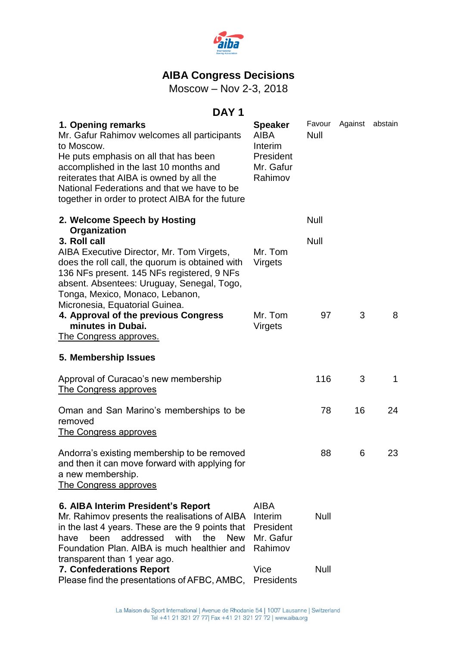

# **AIBA Congress Decisions**

Moscow – Nov 2-3, 2018

# **DAY 1**

| 1. Opening remarks<br>Mr. Gafur Rahimov welcomes all participants<br>to Moscow.<br>He puts emphasis on all that has been<br>accomplished in the last 10 months and<br>reiterates that AIBA is owned by all the<br>National Federations and that we have to be<br>together in order to protect AIBA for the future | <b>Speaker</b><br><b>AIBA</b><br>Interim<br>President<br>Mr. Gafur<br>Rahimov | Favour<br><b>Null</b> | Against abstain |             |
|-------------------------------------------------------------------------------------------------------------------------------------------------------------------------------------------------------------------------------------------------------------------------------------------------------------------|-------------------------------------------------------------------------------|-----------------------|-----------------|-------------|
| 2. Welcome Speech by Hosting                                                                                                                                                                                                                                                                                      |                                                                               | Null                  |                 |             |
| Organization<br>3. Roll call<br>AIBA Executive Director, Mr. Tom Virgets,<br>does the roll call, the quorum is obtained with<br>136 NFs present. 145 NFs registered, 9 NFs<br>absent. Absentees: Uruguay, Senegal, Togo,<br>Tonga, Mexico, Monaco, Lebanon,                                                       | Mr. Tom<br>Virgets                                                            | Null                  |                 |             |
| Micronesia, Equatorial Guinea.<br>4. Approval of the previous Congress<br>minutes in Dubai.<br><u>The Congress approves.</u>                                                                                                                                                                                      | Mr. Tom<br>Virgets                                                            | 97                    | 3               | 8           |
| 5. Membership Issues                                                                                                                                                                                                                                                                                              |                                                                               |                       |                 |             |
| Approval of Curacao's new membership<br>The Congress approves                                                                                                                                                                                                                                                     |                                                                               | 116                   | 3               | $\mathbf 1$ |
| Oman and San Marino's memberships to be<br>removed<br>The Congress approves                                                                                                                                                                                                                                       |                                                                               | 78                    | 16              | 24          |
| Andorra's existing membership to be removed<br>and then it can move forward with applying for<br>a new membership.<br>The Congress approves                                                                                                                                                                       |                                                                               | 88                    | 6               | 23          |
| 6. AIBA Interim President's Report<br>Mr. Rahimov presents the realisations of AIBA<br>in the last 4 years. These are the 9 points that<br>been<br>addressed with<br>the<br><b>New</b><br>have<br>Foundation Plan, AIBA is much healthier and<br>transparent than 1 year ago.                                     | <b>AIBA</b><br>Interim<br>President<br>Mr. Gafur<br>Rahimov                   | <b>Null</b>           |                 |             |
| 7. Confederations Report<br>Please find the presentations of AFBC, AMBC,                                                                                                                                                                                                                                          | Vice<br>Presidents                                                            | Null                  |                 |             |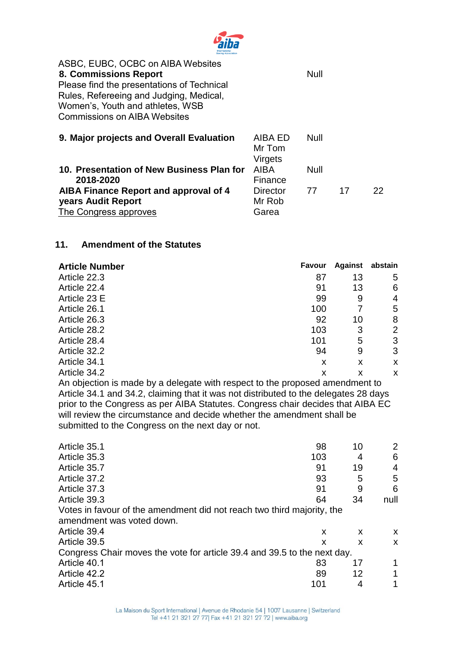

| ASBC, EUBC, OCBC on AIBA Websites<br>8. Commissions Report<br>Please find the presentations of Technical<br>Rules, Refereeing and Judging, Medical,<br>Women's, Youth and athletes, WSB<br><b>Commissions on AIBA Websites</b> |                                     | <b>Null</b> |    |    |
|--------------------------------------------------------------------------------------------------------------------------------------------------------------------------------------------------------------------------------|-------------------------------------|-------------|----|----|
| 9. Major projects and Overall Evaluation                                                                                                                                                                                       | AIBA ED<br>Mr Tom<br><b>Virgets</b> | <b>Null</b> |    |    |
| 10. Presentation of New Business Plan for<br>2018-2020                                                                                                                                                                         | <b>AIBA</b><br>Finance              | Null        |    |    |
| AIBA Finance Report and approval of 4<br>years Audit Report                                                                                                                                                                    | Director<br>Mr Rob                  | 77          | 17 | 22 |

The Congress approves

| 11. | <b>Amendment of the Statutes</b> |
|-----|----------------------------------|

| <b>Article Number</b> | Favour | <b>Against</b> | abstain        |
|-----------------------|--------|----------------|----------------|
| Article 22.3          | 87     | 13             | 5              |
| Article 22.4          | 91     | 13             | 6              |
| Article 23 E          | 99     | 9              | 4              |
| Article 26.1          | 100    |                | 5              |
| Article 26.3          | 92     | 10             | 8              |
| Article 28.2          | 103    | 3              | $\overline{2}$ |
| Article 28.4          | 101    | 5              | 3              |
| Article 32.2          | 94     | 9              | 3              |
| Article 34.1          | X      | X              | X              |
| Article 34.2          | x      | x              | X              |

Garea

An objection is made by a delegate with respect to the proposed amendment to Article 34.1 and 34.2, claiming that it was not distributed to the delegates 28 days prior to the Congress as per AIBA Statutes. Congress chair decides that AIBA EC will review the circumstance and decide whether the amendment shall be submitted to the Congress on the next day or not.

| Article 35.1                                                             | 98  | 10 |      |
|--------------------------------------------------------------------------|-----|----|------|
| Article 35.3                                                             | 103 | 4  | 6    |
| Article 35.7                                                             | 91  | 19 | 4    |
| Article 37.2                                                             | 93  | 5  | 5    |
| Article 37.3                                                             | 91  | 9  | 6    |
| Article 39.3                                                             | 64  | 34 | null |
| Votes in favour of the amendment did not reach two third majority, the   |     |    |      |
| amendment was voted down.                                                |     |    |      |
| Article 39.4                                                             | X   | X  | X.   |
| Article 39.5                                                             | X   | X  | X    |
| Congress Chair moves the vote for article 39.4 and 39.5 to the next day. |     |    |      |
| Article 40.1                                                             | 83  | 17 |      |
| Article 42.2                                                             | 89  | 12 |      |
| Article 45.1                                                             | 101 |    |      |
|                                                                          |     |    |      |